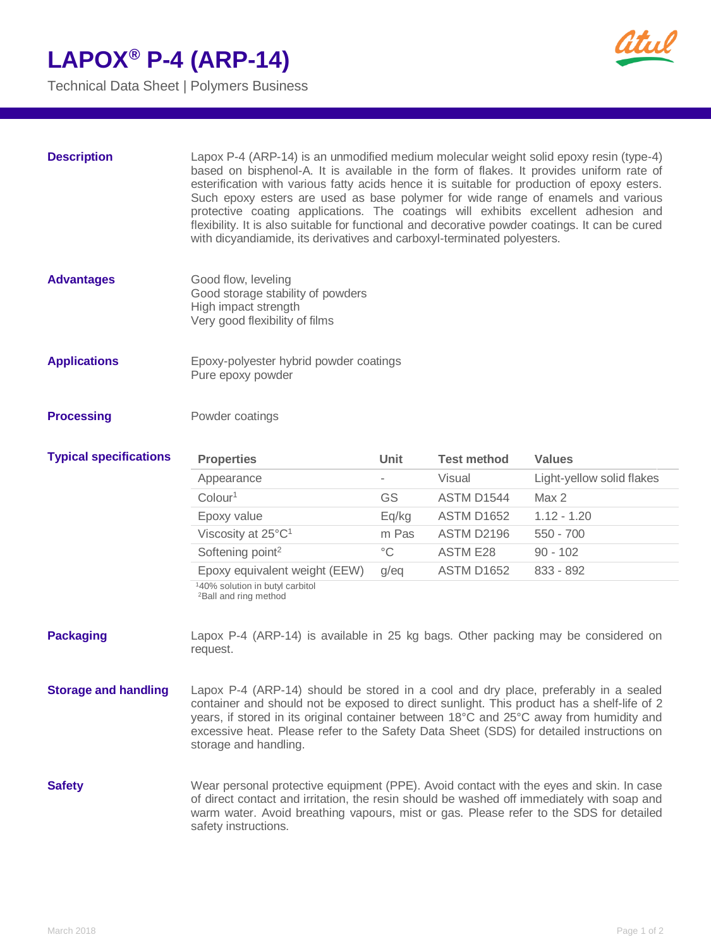Technical Data Sheet | Polymers Business



| <b>Description</b>            | Lapox P-4 (ARP-14) is an unmodified medium molecular weight solid epoxy resin (type-4)<br>based on bisphenol-A. It is available in the form of flakes. It provides uniform rate of<br>esterification with various fatty acids hence it is suitable for production of epoxy esters.<br>Such epoxy esters are used as base polymer for wide range of enamels and various<br>protective coating applications. The coatings will exhibits excellent adhesion and<br>flexibility. It is also suitable for functional and decorative powder coatings. It can be cured<br>with dicyandiamide, its derivatives and carboxyl-terminated polyesters. |             |                    |                           |
|-------------------------------|--------------------------------------------------------------------------------------------------------------------------------------------------------------------------------------------------------------------------------------------------------------------------------------------------------------------------------------------------------------------------------------------------------------------------------------------------------------------------------------------------------------------------------------------------------------------------------------------------------------------------------------------|-------------|--------------------|---------------------------|
| <b>Advantages</b>             | Good flow, leveling<br>Good storage stability of powders<br>High impact strength<br>Very good flexibility of films                                                                                                                                                                                                                                                                                                                                                                                                                                                                                                                         |             |                    |                           |
| <b>Applications</b>           | Epoxy-polyester hybrid powder coatings<br>Pure epoxy powder                                                                                                                                                                                                                                                                                                                                                                                                                                                                                                                                                                                |             |                    |                           |
| <b>Processing</b>             | Powder coatings                                                                                                                                                                                                                                                                                                                                                                                                                                                                                                                                                                                                                            |             |                    |                           |
| <b>Typical specifications</b> | <b>Properties</b>                                                                                                                                                                                                                                                                                                                                                                                                                                                                                                                                                                                                                          | Unit        | <b>Test method</b> | <b>Values</b>             |
|                               | Appearance                                                                                                                                                                                                                                                                                                                                                                                                                                                                                                                                                                                                                                 |             | Visual             | Light-yellow solid flakes |
|                               | Colour <sup>1</sup>                                                                                                                                                                                                                                                                                                                                                                                                                                                                                                                                                                                                                        | GS          | ASTM D1544         | Max 2                     |
|                               | Epoxy value                                                                                                                                                                                                                                                                                                                                                                                                                                                                                                                                                                                                                                | Eq/kg       | <b>ASTM D1652</b>  | $1.12 - 1.20$             |
|                               | Viscosity at 25°C <sup>1</sup>                                                                                                                                                                                                                                                                                                                                                                                                                                                                                                                                                                                                             | m Pas       | ASTM D2196         | $550 - 700$               |
|                               | Softening point <sup>2</sup>                                                                                                                                                                                                                                                                                                                                                                                                                                                                                                                                                                                                               | $^{\circ}C$ | <b>ASTM E28</b>    | $90 - 102$                |
|                               | Epoxy equivalent weight (EEW)                                                                                                                                                                                                                                                                                                                                                                                                                                                                                                                                                                                                              | g/eq        | <b>ASTM D1652</b>  | 833 - 892                 |
|                               | 140% solution in butyl carbitol<br><sup>2</sup> Ball and ring method                                                                                                                                                                                                                                                                                                                                                                                                                                                                                                                                                                       |             |                    |                           |
| <b>Packaging</b>              | Lapox P-4 (ARP-14) is available in 25 kg bags. Other packing may be considered on<br>request.                                                                                                                                                                                                                                                                                                                                                                                                                                                                                                                                              |             |                    |                           |
| <b>Storage and handling</b>   | Lapox P-4 (ARP-14) should be stored in a cool and dry place, preferably in a sealed<br>container and should not be exposed to direct sunlight. This product has a shelf-life of 2<br>years, if stored in its original container between 18°C and 25°C away from humidity and<br>excessive heat. Please refer to the Safety Data Sheet (SDS) for detailed instructions on<br>storage and handling.                                                                                                                                                                                                                                          |             |                    |                           |
| <b>Safety</b>                 | Wear personal protective equipment (PPE). Avoid contact with the eyes and skin. In case<br>of direct contact and irritation, the resin should be washed off immediately with soap and<br>warm water. Avoid breathing vapours, mist or gas. Please refer to the SDS for detailed<br>safety instructions.                                                                                                                                                                                                                                                                                                                                    |             |                    |                           |